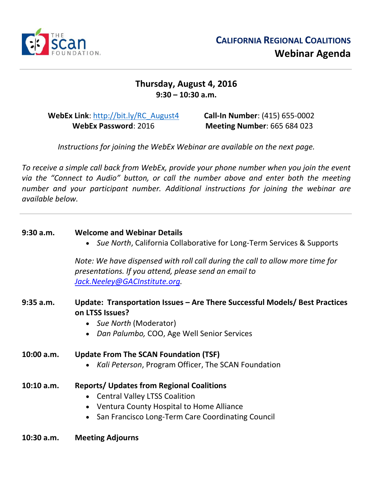

## **Thursday, August 4, 2016 9:30 – 10:30 a.m.**

**WebEx Link**: [http://bit.ly/RC\\_August4](http://bit.ly/RC_August4) **WebEx Password**: 2016

**Call-In Number**: (415) 655-0002 **Meeting Number**: 665 684 023

*Instructions for joining the WebEx Webinar are available on the next page.*

*To receive a simple call back from WebEx, provide your phone number when you join the event via the "Connect to Audio" button, or call the number above and enter both the meeting number and your participant number. Additional instructions for joining the webinar are available below.* 

| 9:30 a.m.    | <b>Welcome and Webinar Details</b><br>• Sue North, California Collaborative for Long-Term Services & Supports                                                                               |
|--------------|---------------------------------------------------------------------------------------------------------------------------------------------------------------------------------------------|
|              | Note: We have dispensed with roll call during the call to allow more time for<br>presentations. If you attend, please send an email to<br>Jack.Neeley@GACInstitute.org.                     |
| $9:35$ a.m.  | Update: Transportation Issues – Are There Successful Models/ Best Practices<br>on LTSS Issues?<br>Sue North (Moderator)<br>$\bullet$<br>Dan Palumbo, COO, Age Well Senior Services          |
| 10:00 a.m.   | <b>Update From The SCAN Foundation (TSF)</b><br>Kali Peterson, Program Officer, The SCAN Foundation                                                                                         |
| 10:10 a.m.   | <b>Reports/ Updates from Regional Coalitions</b><br><b>Central Valley LTSS Coalition</b><br>• Ventura County Hospital to Home Alliance<br>San Francisco Long-Term Care Coordinating Council |
| $10:30$ a.m. | <b>Meeting Adjourns</b>                                                                                                                                                                     |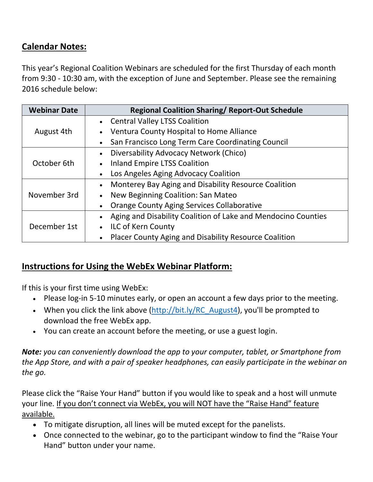## **Calendar Notes:**

This year's Regional Coalition Webinars are scheduled for the first Thursday of each month from 9:30 - 10:30 am, with the exception of June and September. Please see the remaining 2016 schedule below:

| <b>Webinar Date</b> | <b>Regional Coalition Sharing/ Report-Out Schedule</b>        |
|---------------------|---------------------------------------------------------------|
|                     | <b>Central Valley LTSS Coalition</b>                          |
| August 4th          | Ventura County Hospital to Home Alliance                      |
|                     | San Francisco Long Term Care Coordinating Council             |
|                     | Diversability Advocacy Network (Chico)                        |
| October 6th         | <b>Inland Empire LTSS Coalition</b>                           |
|                     | Los Angeles Aging Advocacy Coalition                          |
| November 3rd        | Monterey Bay Aging and Disability Resource Coalition          |
|                     | New Beginning Coalition: San Mateo                            |
|                     | <b>Orange County Aging Services Collaborative</b>             |
|                     | Aging and Disability Coalition of Lake and Mendocino Counties |
| December 1st        | <b>ILC of Kern County</b>                                     |
|                     | Placer County Aging and Disability Resource Coalition         |

## **Instructions for Using the WebEx Webinar Platform:**

If this is your first time using WebEx:

- Please log-in 5-10 minutes early, or open an account a few days prior to the meeting.
- When you click the link above  $\frac{\frac{h_t}{v}}{\frac{h_t}{v}}$  (bit.ly/RC\_August4), you'll be prompted to download the free WebEx app.
- You can create an account before the meeting, or use a guest login.

*Note: you can conveniently download the app to your computer, tablet, or Smartphone from the App Store, and with a pair of speaker headphones, can easily participate in the webinar on the go.* 

Please click the "Raise Your Hand" button if you would like to speak and a host will unmute your line. If you don't connect via WebEx, you will NOT have the "Raise Hand" feature available.

- To mitigate disruption, all lines will be muted except for the panelists.
- Once connected to the webinar, go to the participant window to find the "Raise Your Hand" button under your name.